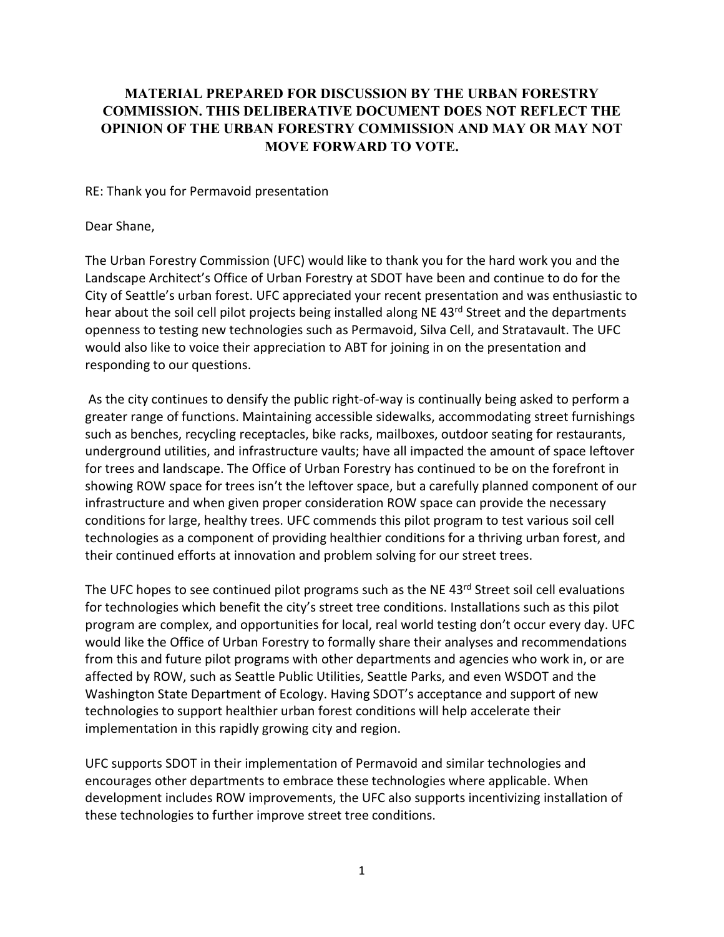## **MATERIAL PREPARED FOR DISCUSSION BY THE URBAN FORESTRY COMMISSION. THIS DELIBERATIVE DOCUMENT DOES NOT REFLECT THE OPINION OF THE URBAN FORESTRY COMMISSION AND MAY OR MAY NOT MOVE FORWARD TO VOTE.**

RE: Thank you for Permavoid presentation

## Dear Shane,

The Urban Forestry Commission (UFC) would like to thank you for the hard work you and the Landscape Architect's Office of Urban Forestry at SDOT have been and continue to do for the City of Seattle's urban forest. UFC appreciated your recent presentation and was enthusiastic to hear about the soil cell pilot projects being installed along NE 43<sup>rd</sup> Street and the departments openness to testing new technologies such as Permavoid, Silva Cell, and Stratavault. The UFC would also like to voice their appreciation to ABT for joining in on the presentation and responding to our questions.

As the city continues to densify the public right-of-way is continually being asked to perform a greater range of functions. Maintaining accessible sidewalks, accommodating street furnishings such as benches, recycling receptacles, bike racks, mailboxes, outdoor seating for restaurants, underground utilities, and infrastructure vaults; have all impacted the amount of space leftover for trees and landscape. The Office of Urban Forestry has continued to be on the forefront in showing ROW space for trees isn't the leftover space, but a carefully planned component of our infrastructure and when given proper consideration ROW space can provide the necessary conditions for large, healthy trees. UFC commends this pilot program to test various soil cell technologies as a component of providing healthier conditions for a thriving urban forest, and their continued efforts at innovation and problem solving for our street trees.

The UFC hopes to see continued pilot programs such as the NE 43rd Street soil cell evaluations for technologies which benefit the city's street tree conditions. Installations such as this pilot program are complex, and opportunities for local, real world testing don't occur every day. UFC would like the Office of Urban Forestry to formally share their analyses and recommendations from this and future pilot programs with other departments and agencies who work in, or are affected by ROW, such as Seattle Public Utilities, Seattle Parks, and even WSDOT and the Washington State Department of Ecology. Having SDOT's acceptance and support of new technologies to support healthier urban forest conditions will help accelerate their implementation in this rapidly growing city and region.

UFC supports SDOT in their implementation of Permavoid and similar technologies and encourages other departments to embrace these technologies where applicable. When development includes ROW improvements, the UFC also supports incentivizing installation of these technologies to further improve street tree conditions.